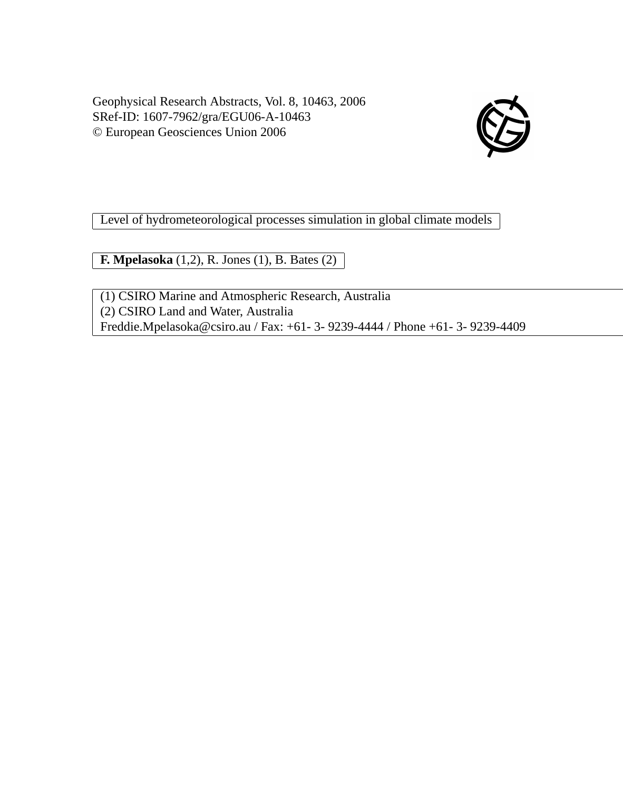Geophysical Research Abstracts, Vol. 8, 10463, 2006 SRef-ID: 1607-7962/gra/EGU06-A-10463 © European Geosciences Union 2006



Level of hydrometeorological processes simulation in global climate models

**F. Mpelasoka** (1,2), R. Jones (1), B. Bates (2)

(1) CSIRO Marine and Atmospheric Research, Australia (2) CSIRO Land and Water, Australia Freddie.Mpelasoka@csiro.au / Fax: +61- 3- 9239-4444 / Phone +61- 3- 9239-4409